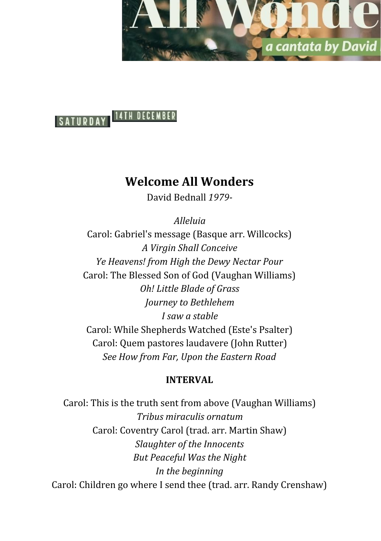



# **Welcome All Wonders**

David Bednall *1979-*

*Alleluia*

Carol: Gabriel's message (Basque arr. Willcocks) *A Virgin Shall Conceive Ye Heavens! from High the Dewy Nectar Pour* Carol: The Blessed Son of God (Vaughan Williams) *Oh! Little Blade of Grass Journey to Bethlehem I saw a stable* Carol: While Shepherds Watched (Este's Psalter) Carol: Quem pastores laudavere (John Rutter) *See How from Far, Upon the Eastern Road*

### **INTERVAL**

Carol: This is the truth sent from above (Vaughan Williams) *Tribus miraculis ornatum* Carol: Coventry Carol (trad. arr. Martin Shaw) *Slaughter of the Innocents But Peaceful Was the Night In the beginning* Carol: Children go where I send thee (trad. arr. Randy Crenshaw)